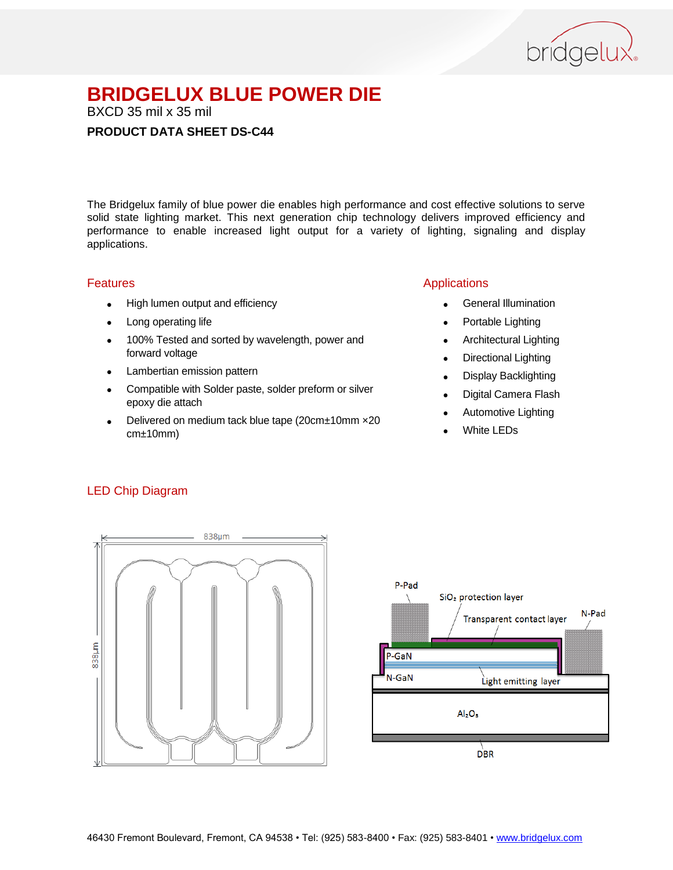

BXCD 35 mil x 35 mil

#### **PRODUCT DATA SHEET DS-C44**

The Bridgelux family of blue power die enables high performance and cost effective solutions to serve solid state lighting market. This next generation chip technology delivers improved efficiency and performance to enable increased light output for a variety of lighting, signaling and display applications.

#### Features

- High lumen output and efficiency
- Long operating life
- 100% Tested and sorted by wavelength, power and forward voltage
- Lambertian emission pattern
- Compatible with Solder paste, solder preform or silver epoxy die attach
- Delivered on medium tack blue tape (20cm±10mm ×20 cm±10mm)

#### Applications

- General Illumination
- Portable Lighting
- Architectural Lighting
- Directional Lighting
- Display Backlighting
- Digital Camera Flash
- Automotive Lighting
- White LEDs

#### LED Chip Diagram



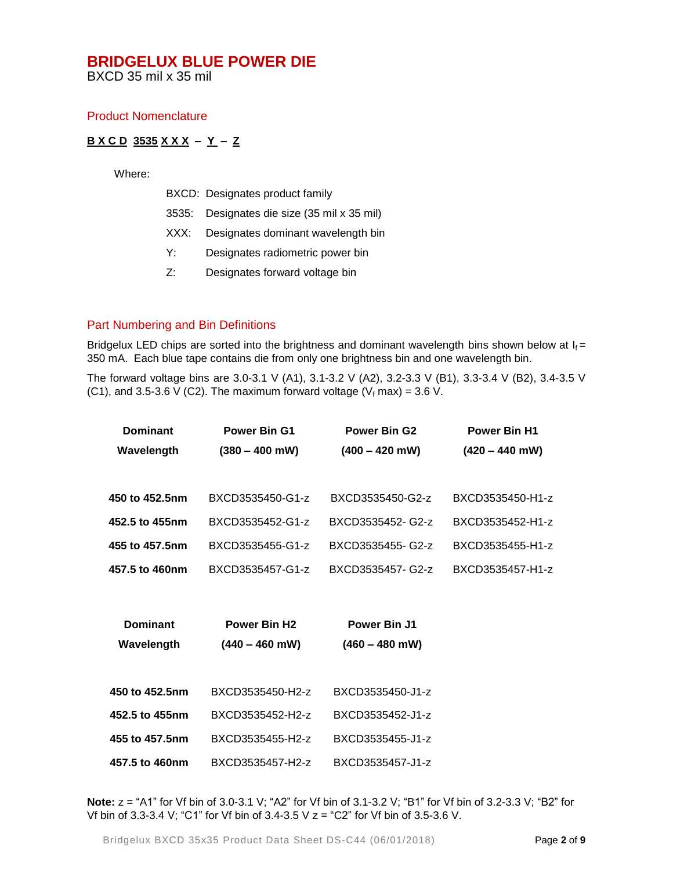BXCD 35 mil x 35 mil

#### Product Nomenclature

#### **B X C D 3535 X X X – Y – Z**

Where:

| BXCD: Designates product family |  |  |  |  |  |  |  |
|---------------------------------|--|--|--|--|--|--|--|
|                                 |  |  |  |  |  |  |  |

- 3535: Designates die size (35 mil x 35 mil)
- XXX: Designates dominant wavelength bin
- Y: Designates radiometric power bin
- Z: Designates forward voltage bin

#### Part Numbering and Bin Definitions

Bridgelux LED chips are sorted into the brightness and dominant wavelength bins shown below at  $I_f =$ 350 mA. Each blue tape contains die from only one brightness bin and one wavelength bin.

The forward voltage bins are 3.0-3.1 V (A1), 3.1-3.2 V (A2), 3.2-3.3 V (B1), 3.3-3.4 V (B2), 3.4-3.5 V (C1), and 3.5-3.6 V (C2). The maximum forward voltage ( $V_f$  max) = 3.6 V.

| <b>Dominant</b> | <b>Power Bin G1</b> | <b>Power Bin G2</b> | <b>Power Bin H1</b> |  |
|-----------------|---------------------|---------------------|---------------------|--|
| Wavelength      | $(380 - 400$ mW)    | $(400 - 420$ mW)    | $(420 - 440$ mW)    |  |
|                 |                     |                     |                     |  |
| 450 to 452.5nm  | BXCD3535450-G1-z    | BXCD3535450-G2-z    | BXCD3535450-H1-z    |  |
| 452.5 to 455nm  | BXCD3535452-G1-z    | BXCD3535452-G2-z    | BXCD3535452-H1-z    |  |
| 455 to 457.5nm  | BXCD3535455-G1-z    | BXCD3535455- G2-z   | BXCD3535455-H1-z    |  |
| 457.5 to 460nm  | BXCD3535457-G1-z    | BXCD3535457-G2-z    | BXCD3535457-H1-z    |  |
|                 |                     |                     |                     |  |
| <b>Dominant</b> | <b>Power Bin H2</b> | <b>Power Bin J1</b> |                     |  |
|                 |                     |                     |                     |  |
| Wavelength      | $(440 - 460$ mW)    | $(460 - 480$ mW)    |                     |  |
|                 |                     |                     |                     |  |
| 450 to 452.5nm  | BXCD3535450-H2-z    | BXCD3535450-J1-z    |                     |  |
| 452.5 to 455nm  | BXCD3535452-H2-z    | BXCD3535452-J1-z    |                     |  |
| 455 to 457.5nm  | BXCD3535455-H2-z    | BXCD3535455-J1-z    |                     |  |
| 457.5 to 460nm  | BXCD3535457-H2-z    | BXCD3535457-J1-z    |                     |  |

**Note:**  $z = "A1"$  for Vf bin of 3.0-3.1 V; "A2" for Vf bin of 3.1-3.2 V; "B1" for Vf bin of 3.2-3.3 V; "B2" for Vf bin of 3.3-3.4 V; "C1" for Vf bin of 3.4-3.5 V z = "C2" for Vf bin of 3.5-3.6 V.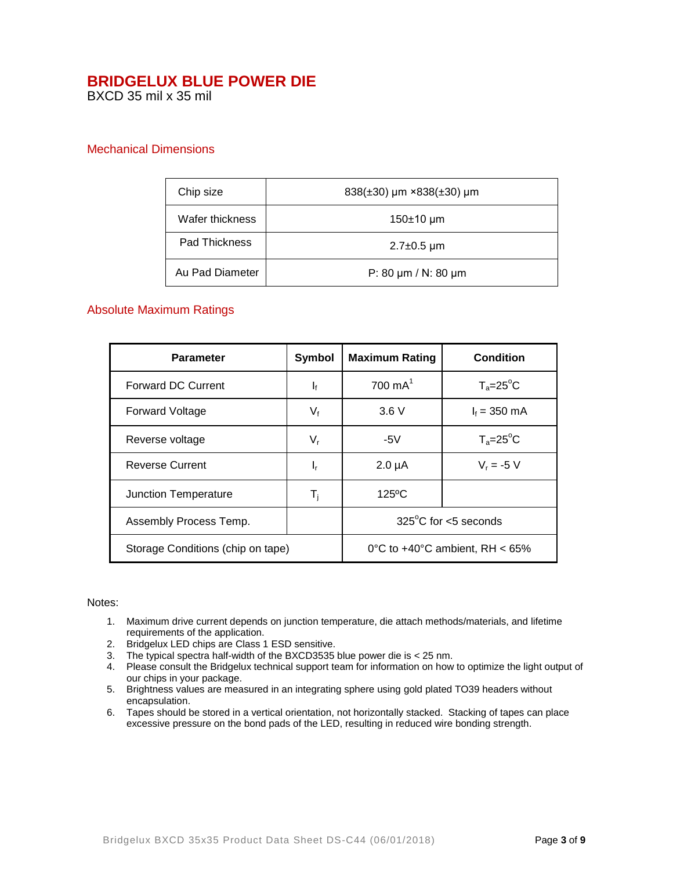BXCD 35 mil x 35 mil

#### Mechanical Dimensions

| Chip size       | 838(±30) µm ×838(±30) µm      |
|-----------------|-------------------------------|
| Wafer thickness | $150±10 \mu m$                |
| Pad Thickness   | $2.7 \pm 0.5$ µm              |
| Au Pad Diameter | P: 80 $\mu$ m / N: 80 $\mu$ m |

#### Absolute Maximum Ratings

| <b>Parameter</b>                  | <b>Symbol</b>                     | <b>Maximum Rating</b>          | Condition          |
|-----------------------------------|-----------------------------------|--------------------------------|--------------------|
| <b>Forward DC Current</b>         | $\mathbf{I}_{\text{f}}$           | $700 \text{ mA}^1$             | $T_a = 25^\circ C$ |
| <b>Forward Voltage</b>            | $V_{f}$                           | 3.6V                           | $I_f = 350$ mA     |
| Reverse voltage                   | $V_{r}$                           | -5 $V$                         | $T_a = 25^\circ C$ |
| <b>Reverse Current</b>            | ı,                                | $2.0 \mu A$                    | $V_r = -5 V$       |
| Junction Temperature              | $\mathsf{T}_\mathsf{i}$           | $125^{\circ}$ C                |                    |
| Assembly Process Temp.            |                                   | $325^{\circ}$ C for <5 seconds |                    |
| Storage Conditions (chip on tape) | 0°C to $+40$ °C ambient, RH < 65% |                                |                    |

#### Notes:

- 1. Maximum drive current depends on junction temperature, die attach methods/materials, and lifetime requirements of the application.
- 2. Bridgelux LED chips are Class 1 ESD sensitive.
- 3. The typical spectra half-width of the BXCD3535 blue power die is < 25 nm.
- 4. Please consult the Bridgelux technical support team for information on how to optimize the light output of our chips in your package.
- 5. Brightness values are measured in an integrating sphere using gold plated TO39 headers without encapsulation.
- 6. Tapes should be stored in a vertical orientation, not horizontally stacked. Stacking of tapes can place excessive pressure on the bond pads of the LED, resulting in reduced wire bonding strength.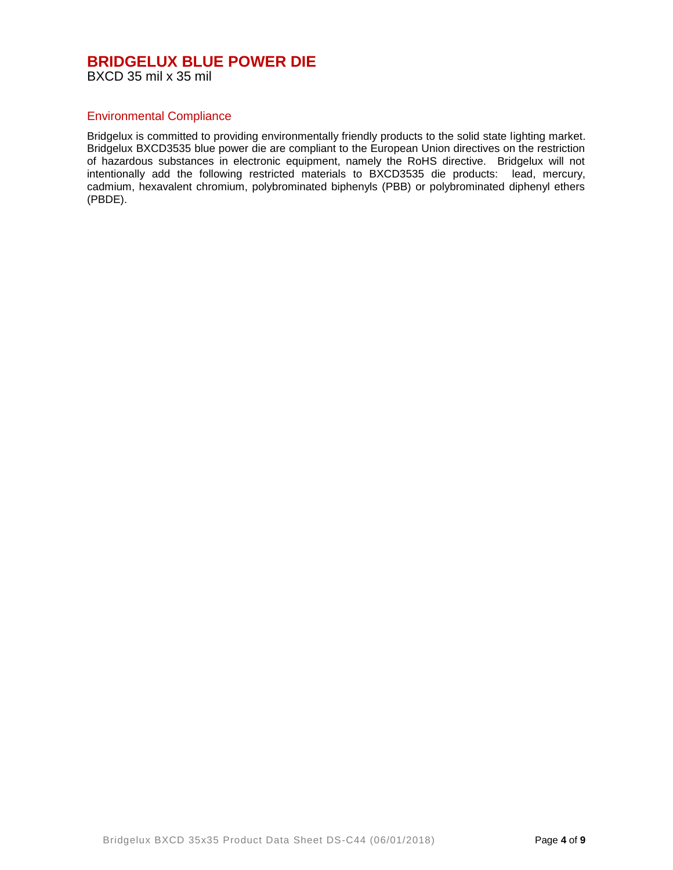#### **BRIDGELUX BLUE POWER DIE** BXCD 35 mil x 35 mil

#### Environmental Compliance

Bridgelux is committed to providing environmentally friendly products to the solid state lighting market. Bridgelux BXCD3535 blue power die are compliant to the European Union directives on the restriction of hazardous substances in electronic equipment, namely the RoHS directive. Bridgelux will not intentionally add the following restricted materials to BXCD3535 die products: lead, mercury, cadmium, hexavalent chromium, polybrominated biphenyls (PBB) or polybrominated diphenyl ethers (PBDE).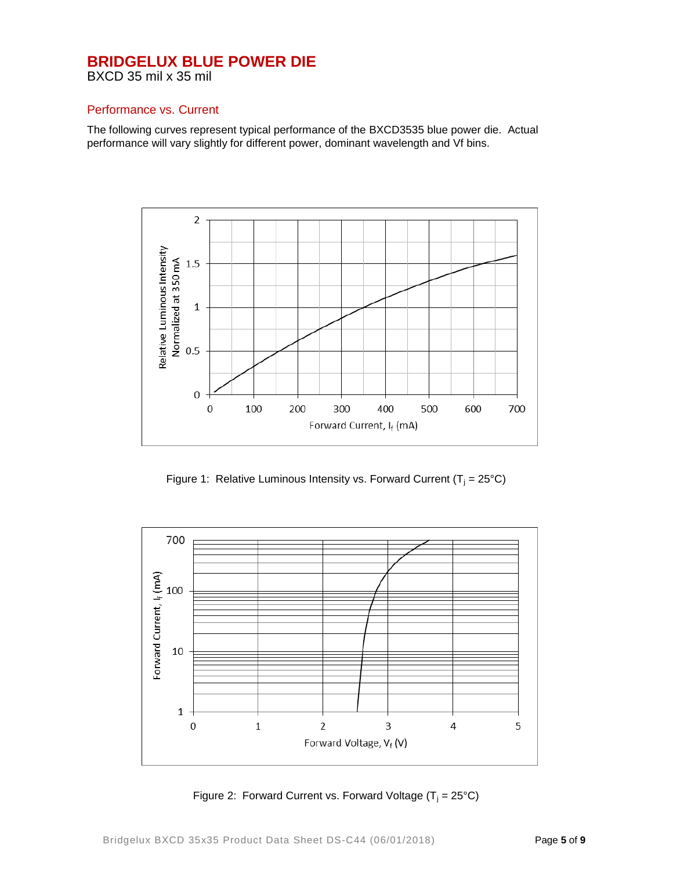BXCD 35 mil x 35 mil

#### Performance vs. Current

The following curves represent typical performance of the BXCD3535 blue power die. Actual performance will vary slightly for different power, dominant wavelength and Vf bins.



Figure 1: Relative Luminous Intensity vs. Forward Current ( $T_i = 25^{\circ}C$ )



Figure 2: Forward Current vs. Forward Voltage  $(T_i = 25^{\circ}C)$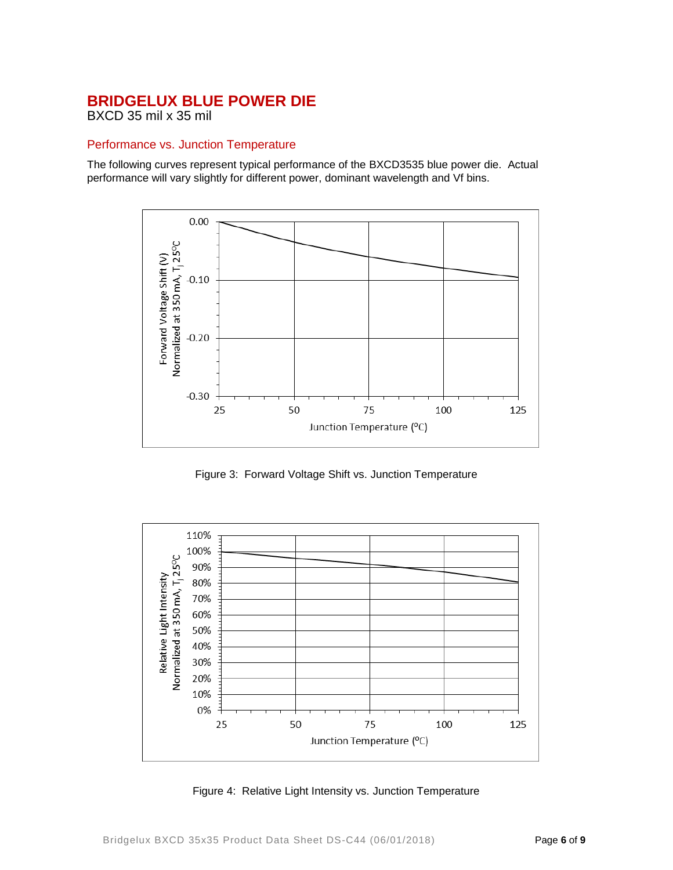BXCD 35 mil x 35 mil

#### Performance vs. Junction Temperature

The following curves represent typical performance of the BXCD3535 blue power die. Actual performance will vary slightly for different power, dominant wavelength and Vf bins.



Figure 3: Forward Voltage Shift vs. Junction Temperature



Figure 4: Relative Light Intensity vs. Junction Temperature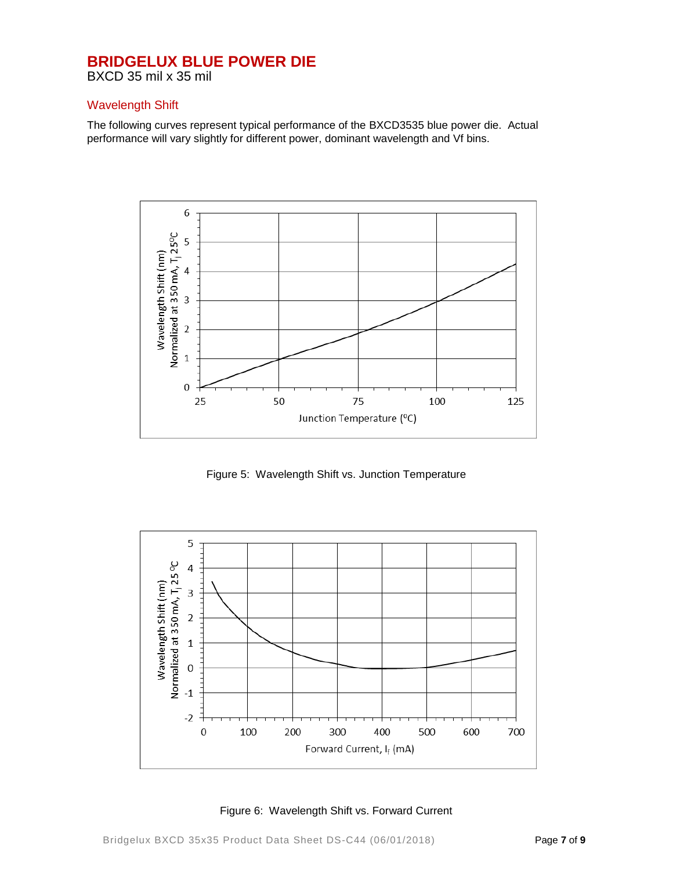BXCD 35 mil x 35 mil

#### Wavelength Shift

The following curves represent typical performance of the BXCD3535 blue power die. Actual performance will vary slightly for different power, dominant wavelength and Vf bins.



Figure 5: Wavelength Shift vs. Junction Temperature



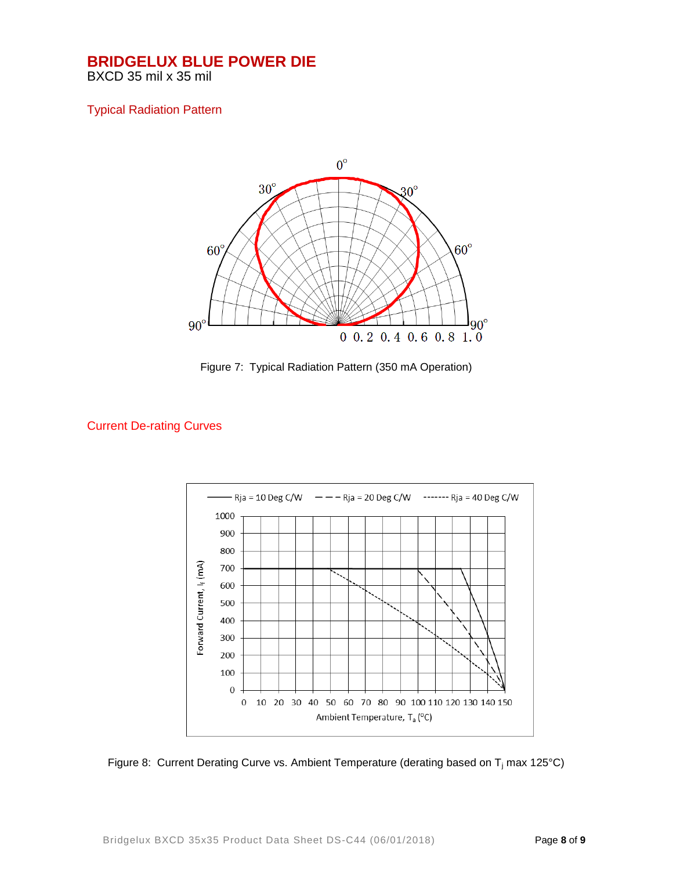BXCD 35 mil x 35 mil

#### Typical Radiation Pattern



Figure 7: Typical Radiation Pattern (350 mA Operation)

#### Current De-rating Curves